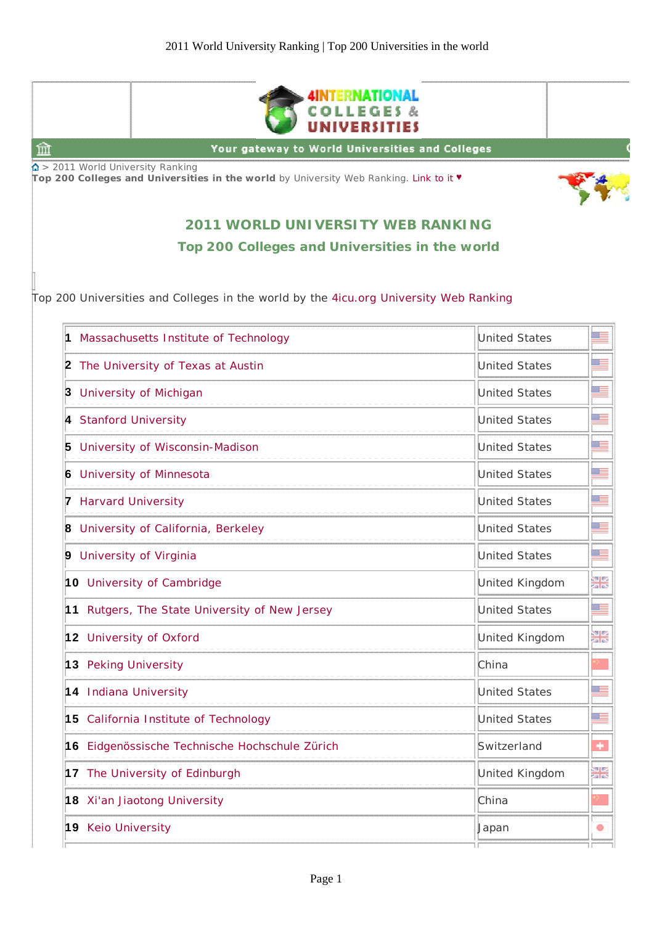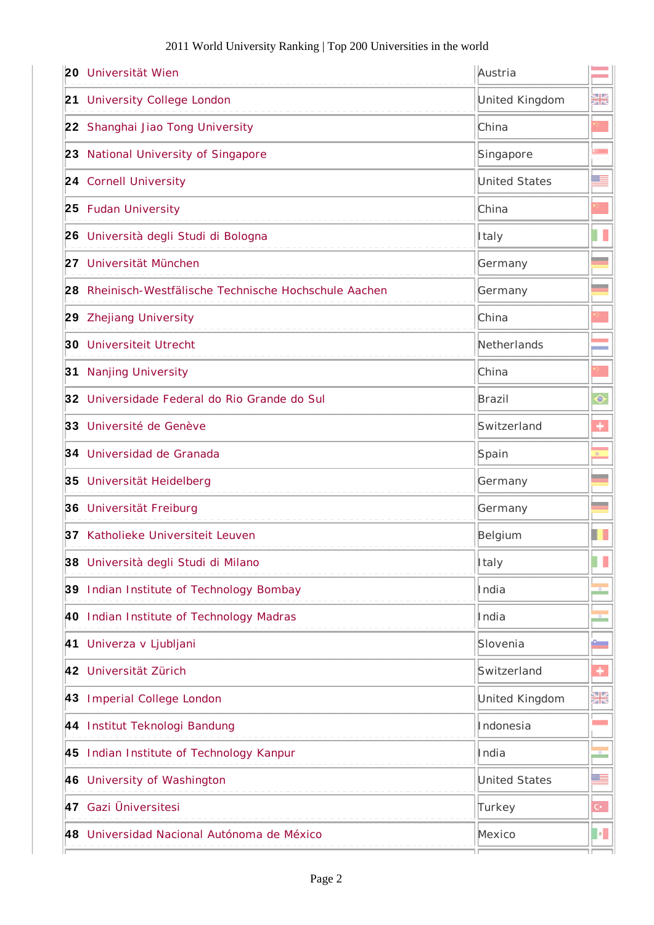| 20 Universität Wien                                    | Austria              |                                     |
|--------------------------------------------------------|----------------------|-------------------------------------|
| 21 University College London                           | United Kingdom       | NIX<br>216                          |
| 22 Shanghai Jiao Tong University                       | China                |                                     |
| 23 National University of Singapore                    | Singapore            | <b>Communication</b>                |
| 24 Cornell University                                  | <b>United States</b> | Œ                                   |
| 25 Fudan University                                    | China                |                                     |
| 26 Università degli Studi di Bologna                   | Italy                |                                     |
| 27 Universität München                                 | Germany              |                                     |
| 28 Rheinisch-Westfälische Technische Hochschule Aachen | Germany              | -                                   |
| 29 Zhejiang University                                 | China                |                                     |
| <b>30</b> Universiteit Utrecht                         | Netherlands          | <b>Contract</b>                     |
| 31 Nanjing University                                  | China                |                                     |
| 32 Universidade Federal do Rio Grande do Sul           | <b>Brazil</b>        | $\bullet$                           |
| 33 Université de Genève                                | Switzerland          | $\left\vert \psi \right\rangle$     |
| 34 Universidad de Granada                              | Spain                | $\mathbf{c}$                        |
| 35 Universität Heidelberg                              | Germany              |                                     |
| 36 Universität Freiburg                                | Germany              | $\overline{\phantom{0}}$            |
| 37 Katholieke Universiteit Leuven                      | Belgium              | $\blacksquare$                      |
| 38 Università degli Studi di Milano                    | <b>Italy</b>         |                                     |
| 39 Indian Institute of Technology Bombay               | India                | <u>in e</u>                         |
| 40 Indian Institute of Technology Madras               | India                | $\overline{\phantom{a}}$            |
| 41 Univerza v Ljubljani                                | Slovenia             | ⊫                                   |
| 42 Universität Zürich                                  | Switzerland          | ٠                                   |
| 43 Imperial College London                             | United Kingdom       | NIX<br>213                          |
| 44 Institut Teknologi Bandung                          | Indonesia            | $\sim$                              |
| 45 Indian Institute of Technology Kanpur               | India                | i<br>S                              |
| 46 University of Washington                            | <b>United States</b> | <u>est</u>                          |
| 47 Gazi Üniversitesi                                   | Turkey               | $\mathbf{C}^{\mathbf{c}}$ .         |
| 48 Universidad Nacional Autónoma de México             | Mexico               | $\blacksquare \bullet \blacksquare$ |
|                                                        |                      |                                     |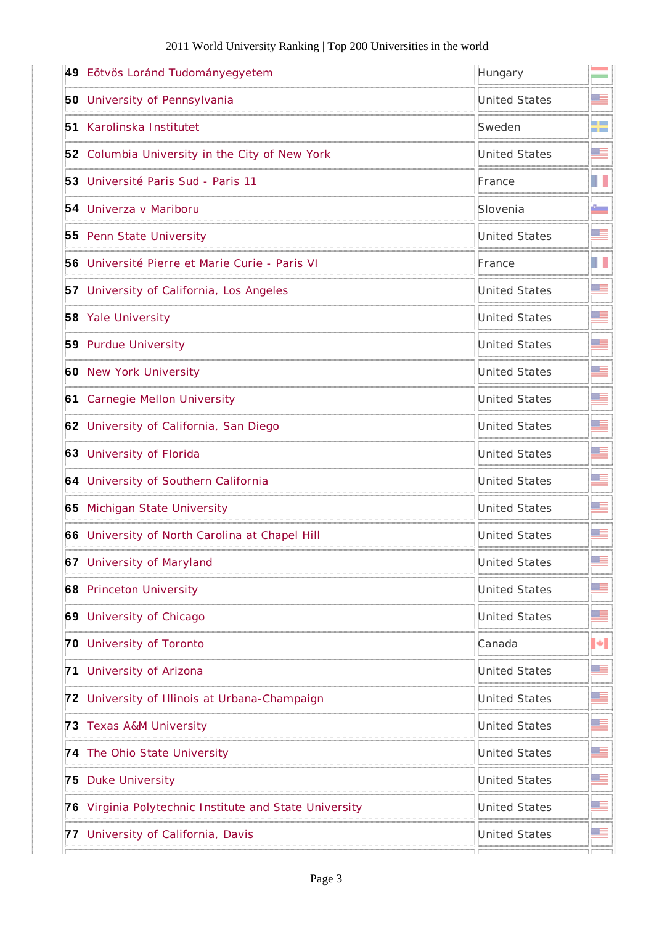| 49 Eötvös Loránd Tudományegyetem                       | Hungary              |                             |
|--------------------------------------------------------|----------------------|-----------------------------|
| 50 University of Pennsylvania                          | <b>United States</b> | LE                          |
| 51 Karolinska Institutet                               | Sweden               | <u>a ba</u><br><b>START</b> |
| 52 Columbia University in the City of New York         | <b>United States</b> | <u>a se</u>                 |
| 53 Université Paris Sud - Paris 11                     | France               | TT                          |
| 54 Univerza v Mariboru                                 | Slovenia             | ▃                           |
| 55 Penn State University                               | <b>United States</b> | <u>e in p</u>               |
| 56 Université Pierre et Marie Curie - Paris VI         | France               |                             |
| 57 University of California, Los Angeles               | <b>United States</b> | كا                          |
| 58 Yale University                                     | <b>United States</b> | LE                          |
| 59 Purdue University                                   | <b>United States</b> | <u>Ma</u>                   |
| 60 New York University                                 | <b>United States</b> | <u>in p</u>                 |
| 61 Carnegie Mellon University                          | <b>United States</b> | <u>e e</u>                  |
| 62 University of California, San Diego                 | <b>United States</b> | LE                          |
| 63 University of Florida                               | <b>United States</b> | <u>e e</u>                  |
| 64 University of Southern California                   | <b>United States</b> | Œ                           |
| 65 Michigan State University                           | <b>United States</b> | <u>e e</u>                  |
| 66 University of North Carolina at Chapel Hill         | <b>United States</b> | <u>sta</u>                  |
| 67 University of Maryland                              | <b>United States</b> | ك                           |
| 68 Princeton University                                | <b>United States</b> | <u>ka </u>                  |
| 69 University of Chicago                               | <b>United States</b> | 트                           |
| 70 University of Toronto                               | Canada               | $\blacktriangleright$       |
| 71 University of Arizona                               | <b>United States</b> | <u>ue</u>                   |
| 72 University of Illinois at Urbana-Champaign          | <b>United States</b> | <u>est</u>                  |
| 73 Texas A&M University                                | <b>United States</b> | <u>est</u>                  |
| 74 The Ohio State University                           | <b>United States</b> | <u>est</u>                  |
| 75 Duke University                                     | <b>United States</b> | ك                           |
| 76 Virginia Polytechnic Institute and State University | <b>United States</b> | <u>is a</u>                 |
| 77 University of California, Davis                     | <b>United States</b> | <u>star</u>                 |
|                                                        |                      |                             |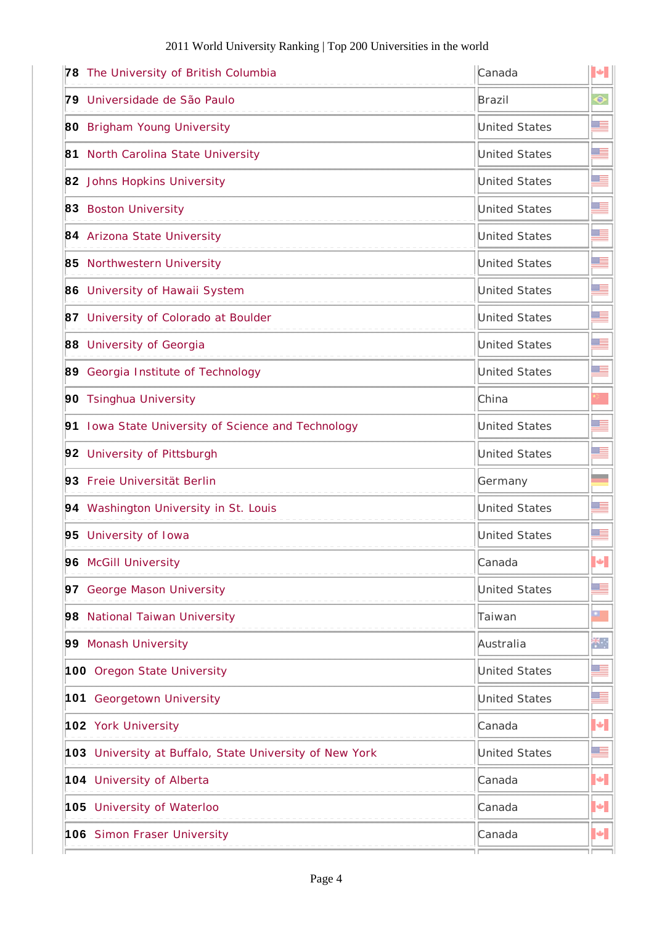| 78 The University of British Columbia                   | Canada               | Н                                    |
|---------------------------------------------------------|----------------------|--------------------------------------|
| 79 Universidade de São Paulo                            | <b>Brazil</b>        | $\bullet$                            |
| 80 Brigham Young University                             | <b>United States</b> | <u>in p</u>                          |
| 81 North Carolina State University                      | <b>United States</b> | $\mathbb{R}^2$                       |
| 82 Johns Hopkins University                             | <b>United States</b> | <u>a p</u>                           |
| 83 Boston University                                    | <b>United States</b> | <u>a p</u>                           |
| 84 Arizona State University                             | <b>United States</b> | $\mathbb{Z}$                         |
| 85 Northwestern University                              | <b>United States</b> | $\mathbb{R}^3$                       |
| 86 University of Hawaii System                          | <b>United States</b> | <u>ue</u>                            |
| 87 University of Colorado at Boulder                    | <b>United States</b> | Œ                                    |
| 88 University of Georgia                                | <b>United States</b> | <u>ka </u>                           |
| 89 Georgia Institute of Technology                      | <b>United States</b> | <u>an</u>                            |
| 90 Tsinghua University                                  | China                |                                      |
| 91 Iowa State University of Science and Technology      | <b>United States</b> | Œ                                    |
| 92 University of Pittsburgh                             | <b>United States</b> | <u>sta</u>                           |
| 93 Freie Universität Berlin                             | Germany              | -                                    |
| 94 Washington University in St. Louis                   | <b>United States</b> | <u>e in</u>                          |
| 95 University of Iowa                                   | <b>United States</b> | $\mathbb{R}^2$                       |
| 96 McGill University                                    | Canada               | M                                    |
| 97 George Mason University                              | <b>United States</b> | <u>star</u>                          |
| 98 National Taiwan University                           | Taiwan               | o,                                   |
| 99 Monash University                                    | Australia            | ॕ                                    |
| 100 Oregon State University                             | <b>United States</b> | Œ                                    |
| 101 Georgetown University                               | <b>United States</b> |                                      |
| 102 York University                                     | Canada               | H                                    |
| 103 University at Buffalo, State University of New York | <b>United States</b> | Œ                                    |
| 104 University of Alberta                               | Canada               | $\blacktriangleright$ $\blacksquare$ |
| 105 University of Waterloo                              | Canada               | H                                    |
| 106 Simon Fraser University                             | Canada               | $\left\  \cdot \right\ $             |
|                                                         |                      |                                      |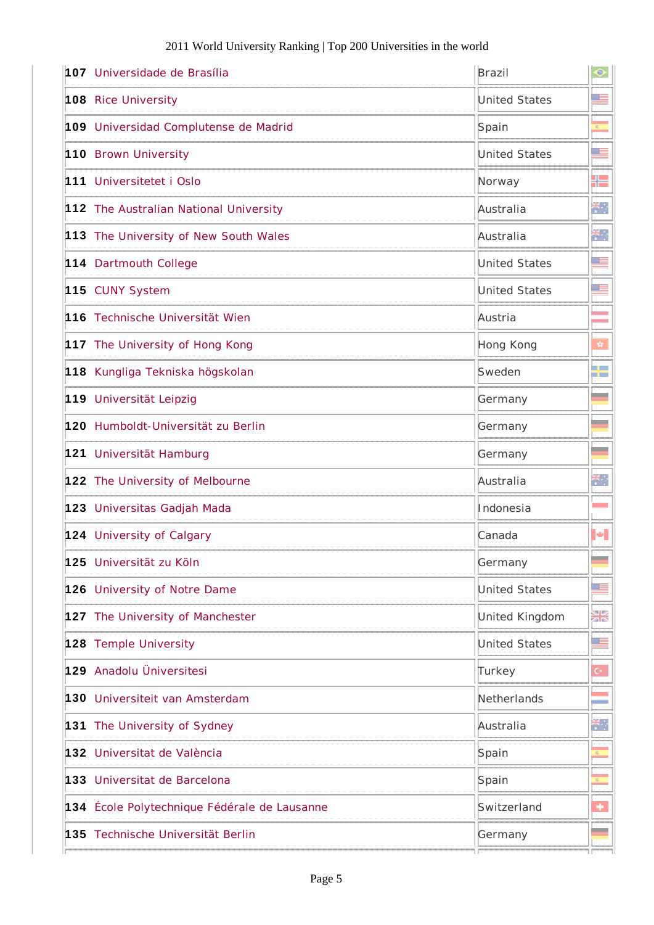| 107 Universidade de Brasília                 | Brazil               | $\bullet$                     |
|----------------------------------------------|----------------------|-------------------------------|
| 108 Rice University                          | <b>United States</b> | a ing                         |
| 109 Universidad Complutense de Madrid        | Spain                |                               |
| 110 Brown University                         | <b>United States</b> | <u>a b</u>                    |
| 111 Universitetet i Oslo                     | Norway               | ╬                             |
| 112 The Australian National University       | Australia            | ×.                            |
| 113 The University of New South Wales        | Australia            | ¥.                            |
| 114 Dartmouth College                        | <b>United States</b> | <u>star</u>                   |
| 115 CUNY System                              | <b>United States</b> | التقارب                       |
| 116 Technische Universität Wien              | Austria              |                               |
| 117 The University of Hong Kong              | Hong Kong            | 女。                            |
| 118 Kungliga Tekniska högskolan              | Sweden               | <u>e pa</u><br><b>COMPANY</b> |
| 119 Universität Leipzig                      | Germany              | -                             |
| 120 Humboldt-Universität zu Berlin           | Germany              |                               |
| 121 Universität Hamburg                      | Germany              | ٠                             |
| 122 The University of Melbourne              | Australia            | ×.                            |
| 123 Universitas Gadjah Mada                  | Indonesia            |                               |
| 124 University of Calgary                    | Canada               | $ \cdot $                     |
| 125 Universität zu Köln                      | Germany              |                               |
| 126 University of Notre Dame                 | <b>United States</b> | <u>a b</u>                    |
| 127 The University of Manchester             | United Kingdom       | NIX<br>213                    |
| 128 Temple University                        | <b>United States</b> | Œ                             |
| 129 Anadolu Üniversitesi                     | Turkey               | $C^*$                         |
| 130 Universiteit van Amsterdam               | Netherlands          |                               |
| 131 The University of Sydney                 | Australia            | ¥.                            |
| 132 Universitat de València                  | Spain                |                               |
| 133 Universitat de Barcelona                 | Spain                |                               |
| 134 École Polytechnique Fédérale de Lausanne | Switzerland          | ٠                             |
| 135 Technische Universität Berlin            | Germany              |                               |
|                                              | Ħ                    | 15                            |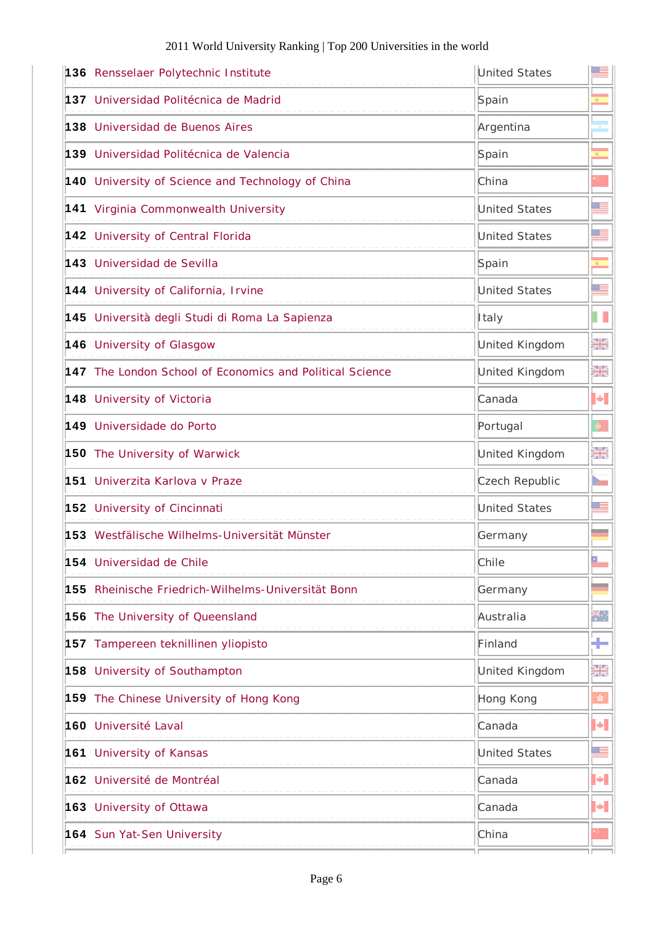| 136 Rensselaer Polytechnic Institute                     | <b>United States</b> |                          |
|----------------------------------------------------------|----------------------|--------------------------|
| 137 Universidad Politécnica de Madrid                    | Spain                |                          |
| 138 Universidad de Buenos Aires                          | Argentina            | $\overline{\phantom{a}}$ |
| 139 Universidad Politécnica de Valencia                  | Spain                |                          |
| 140 University of Science and Technology of China        | China                |                          |
| 141 Virginia Commonwealth University                     | <b>United States</b> | Œ                        |
| 142 University of Central Florida                        | <b>United States</b> | <u>e E</u>               |
| 143 Universidad de Sevilla                               | Spain                |                          |
| 144 University of California, Irvine                     | <b>United States</b> | Œ                        |
| 145 Università degli Studi di Roma La Sapienza           | <b>Italy</b>         | T                        |
| 146 University of Glasgow                                | United Kingdom       | NIX<br>Zir               |
| 147 The London School of Economics and Political Science | United Kingdom       | NIX<br>Air               |
| 148 University of Victoria                               | Canada               | $\blacktriangleright$    |
| 149 Universidade do Porto                                | Portugal             |                          |
| 150 The University of Warwick                            | United Kingdom       | 물                        |
| 151 Univerzita Karlova v Praze                           | Czech Republic       | D                        |
| 152 University of Cincinnati                             | <b>United States</b> | <u>e e</u>               |
| 153 Westfälische Wilhelms-Universität Münster            | Germany              |                          |
| 154 Universidad de Chile                                 | Chile                |                          |
| 155 Rheinische Friedrich-Wilhelms-Universität Bonn       | Germany              |                          |
| 156 The University of Queensland                         | Australia            | ¥ं                       |
| 157 Tampereen teknillinen yliopisto                      | Finland              | ┿                        |
| 158 University of Southampton                            | United Kingdom       | NR<br>ZR                 |
| 159 The Chinese University of Hong Kong                  | Hong Kong            | 幸                        |
| 160 Université Laval                                     | Canada               | $ \cdot $                |
| 161 University of Kansas                                 | <b>United States</b> | $\mathbb{R}^n$           |
| 162 Université de Montréal                               | Canada               | $ \cdot $                |
| 163 University of Ottawa                                 | Canada               | Н                        |
| 164 Sun Yat-Sen University                               | China                |                          |
|                                                          |                      |                          |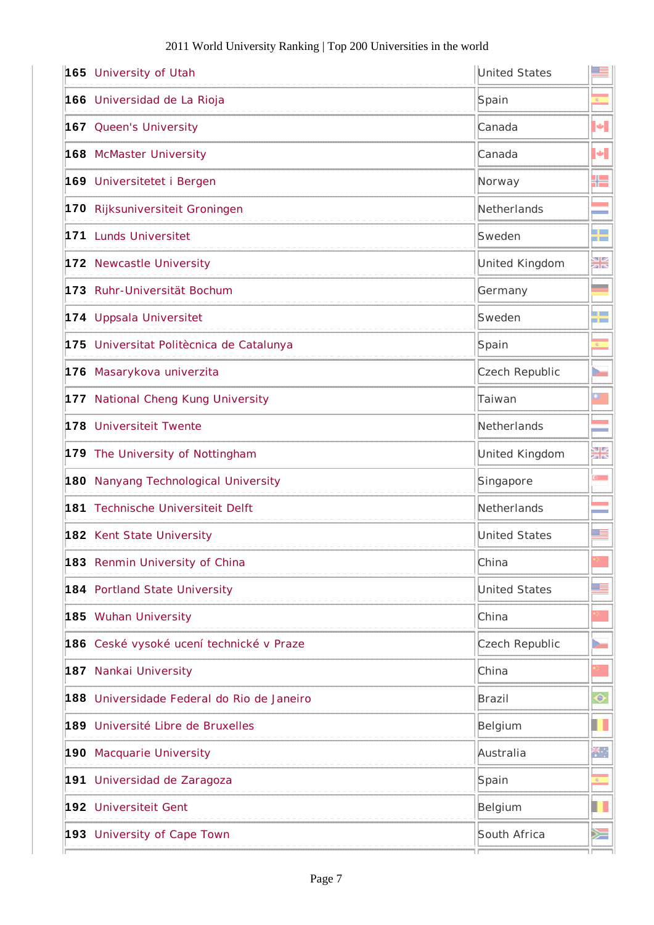| 165 University of Utah                     | <b>United States</b> |                                          |
|--------------------------------------------|----------------------|------------------------------------------|
| 166 Universidad de La Rioja                | Spain                |                                          |
| 167 Queen's University                     | Canada               | $\blacktriangleright$                    |
| 168 McMaster University                    | Canada               | Н                                        |
| 169 Universitetet i Bergen                 | Norway               | 42                                       |
| 170 Rijksuniversiteit Groningen            | Netherlands          |                                          |
| 171 Lunds Universitet                      | Sweden               | a post<br><b>The Contract of Service</b> |
| 172 Newcastle University                   | United Kingdom       | ×k<br>ar                                 |
| 173 Ruhr-Universität Bochum                | Germany              | __                                       |
| 174 Uppsala Universitet                    | Sweden               | <u>e per</u><br><b>COM</b>               |
| 175 Universitat Politècnica de Catalunya   | Spain                |                                          |
| 176 Masarykova univerzita                  | Czech Republic       |                                          |
| 177 National Cheng Kung University         | Taiwan               |                                          |
| 178 Universiteit Twente                    | Netherlands          |                                          |
| 179 The University of Nottingham           | United Kingdom       | 을                                        |
| 180 Nanyang Technological University       | Singapore            | <b>Little</b>                            |
| <b>181</b> Technische Universiteit Delft   | Netherlands          | <b>Contract</b>                          |
| 182 Kent State University                  | <b>United States</b> | 그는                                       |
| 183 Renmin University of China             | China                |                                          |
| 184 Portland State University              | <b>United States</b> |                                          |
| 185 Wuhan University                       | China                |                                          |
| 186 Ceské vysoké ucení technické v Praze   | Czech Republic       |                                          |
| 187 Nankai University                      | China                |                                          |
| 188 Universidade Federal do Rio de Janeiro | <b>Brazil</b>        | $\bullet$                                |
| 189 Université Libre de Bruxelles          | Belgium              | H                                        |
| 190 Macquarie University                   | Australia            | ¥.                                       |
| 191 Universidad de Zaragoza                | Spain                |                                          |
| 192 Universiteit Gent                      | Belgium              | Ш                                        |
| 193 University of Cape Town                | South Africa         | ⋙                                        |
|                                            |                      |                                          |